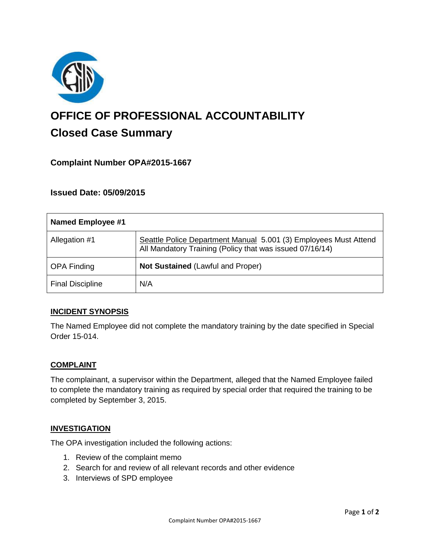

# **OFFICE OF PROFESSIONAL ACCOUNTABILITY Closed Case Summary**

## **Complaint Number OPA#2015-1667**

## **Issued Date: 05/09/2015**

| <b>Named Employee #1</b> |                                                                                                                              |
|--------------------------|------------------------------------------------------------------------------------------------------------------------------|
| Allegation #1            | Seattle Police Department Manual 5.001 (3) Employees Must Attend<br>All Mandatory Training (Policy that was issued 07/16/14) |
| <b>OPA Finding</b>       | <b>Not Sustained (Lawful and Proper)</b>                                                                                     |
| <b>Final Discipline</b>  | N/A                                                                                                                          |

## **INCIDENT SYNOPSIS**

The Named Employee did not complete the mandatory training by the date specified in Special Order 15-014.

#### **COMPLAINT**

The complainant, a supervisor within the Department, alleged that the Named Employee failed to complete the mandatory training as required by special order that required the training to be completed by September 3, 2015.

#### **INVESTIGATION**

The OPA investigation included the following actions:

- 1. Review of the complaint memo
- 2. Search for and review of all relevant records and other evidence
- 3. Interviews of SPD employee